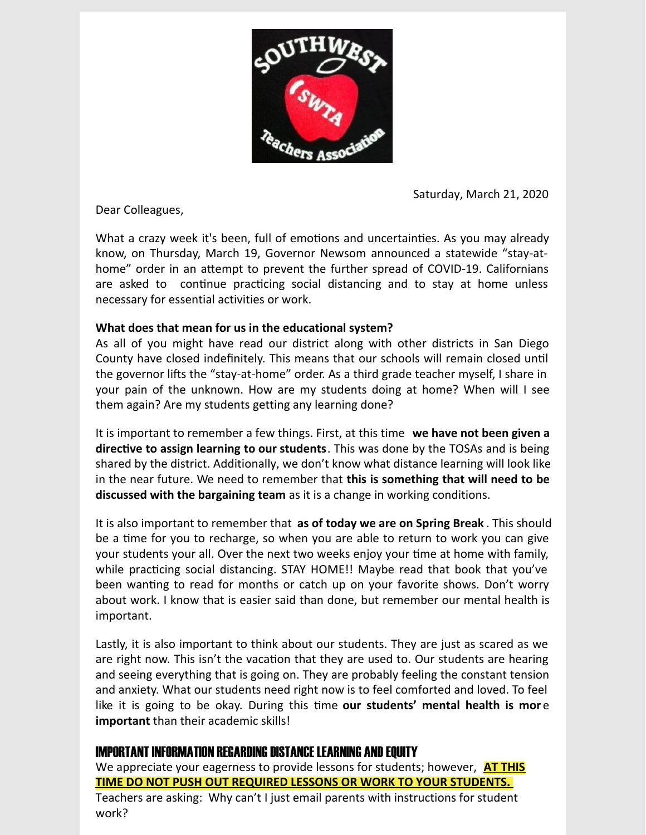

Saturday, March 21, 2020

Dear Colleagues,

What a crazy week it's been, full of emotions and uncertainties. As you may already know, on Thursday, March 19, Governor Newsom announced a statewide "stay-athome" order in an attempt to prevent the further spread of COVID-19. Californians are asked to continue practicing social distancing and to stay at home unless necessary for essential activities or work.

## **What does that mean for us in the educational system?**

As all of you might have read our district along with other districts in San Diego County have closed indefinitely. This means that our schools will remain closed until the governor lifts the "stay-at-home" order. As a third grade teacher myself, I share in your pain of the unknown. How are my students doing at home? When will I see them again? Are my students getting any learning done?

It is important to remember a few things. First, at this time **we have not been given a directive to assign learning to our students**. This was done by the TOSAs and is being shared by the district. Additionally, we don't know what distance learning will look like in the near future. We need to remember that **this is something that will need to be discussed with the bargaining team** as it is a change in working conditions.

It is also important to remember that **as of today we are on Spring Break** . This should be a time for you to recharge, so when you are able to return to work you can give your students your all. Over the next two weeks enjoy your time at home with family, while practicing social distancing. STAY HOME!! Maybe read that book that you've been wanting to read for months or catch up on your favorite shows. Don't worry about work. I know that is easier said than done, but remember our mental health is important.

Lastly, it is also important to think about our students. They are just as scared as we are right now. This isn't the vacation that they are used to. Our students are hearing and seeing everything that is going on. They are probably feeling the constant tension and anxiety. What our students need right now is to feel comforted and loved. To feel like it is going to be okay. During this time our students' mental health is more **important** than their academic skills!

## IMPORTANT INFORMATION REGARDING DISTANCE LEARNING AND EOUITY

We appreciate your eagerness to provide lessons for students; however, **AT THIS TIME DO NOT PUSH OUT REQUIRED LESSONS OR WORK TO YOUR STUDENTS.** Teachers are asking: Why can't I just email parents with instructions for student work?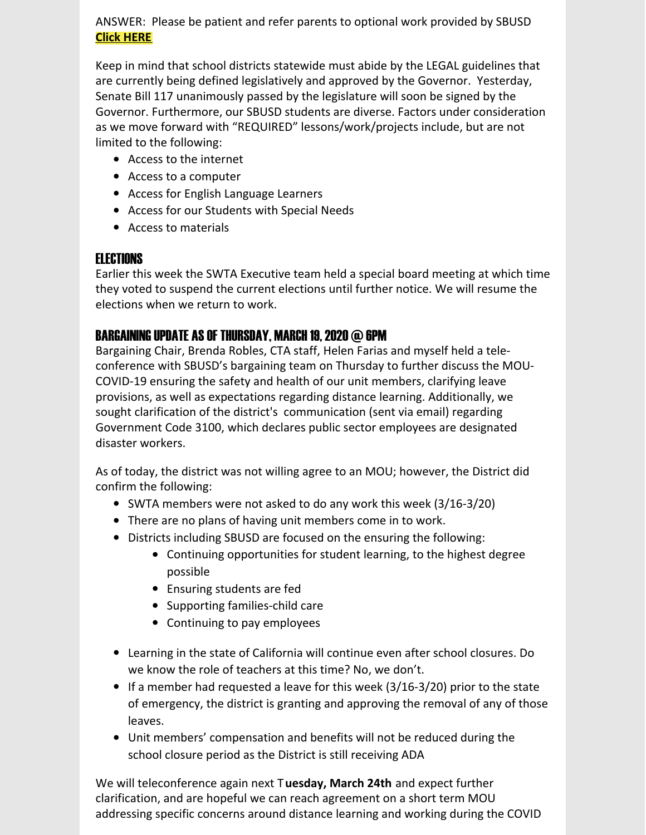ANSWER: Please be patient and refer parents to optional work provided by SBUSD **Click [HERE](https://ca01000811.schoolwires.net/Domain/1352)**

Keep in mind that school districts statewide must abide by the LEGAL guidelines that are currently being defined legislatively and approved by the Governor. Yesterday, Senate Bill 117 unanimously passed by the legislature will soon be signed by the Governor. Furthermore, our SBUSD students are diverse. Factors under consideration as we move forward with "REQUIRED" lessons/work/projects include, but are not limited to the following:

- Access to the internet
- Access to a computer
- Access for English Language Learners
- Access for our Students with Special Needs
- Access to materials

## **FI FCTIONS**

Earlier this week the SWTA Executive team held a special board meeting at which time they voted to suspend the current elections until further notice. We will resume the elections when we return to work.

## BARGAINING UPDATE AS OF THURSDAY, MARCH 19, 2020 @ 6PM

Bargaining Chair, Brenda Robles, CTA staff, Helen Farias and myself held a teleconference with SBUSD's bargaining team on Thursday to further discuss the MOU-COVID-19 ensuring the safety and health of our unit members, clarifying leave provisions, as well as expectations regarding distance learning. Additionally, we sought clarification of the district's communication (sent via email) regarding Government Code 3100, which declares public sector employees are designated disaster workers.

As of today, the district was not willing agree to an MOU; however, the District did confirm the following:

- SWTA members were not asked to do any work this week (3/16-3/20)
- There are no plans of having unit members come in to work.
- Districts including SBUSD are focused on the ensuring the following:
	- Continuing opportunities for student learning, to the highest degree possible
	- Ensuring students are fed
	- Supporting families-child care
	- Continuing to pay employees
- Learning in the state of California will continue even after school closures. Do we know the role of teachers at this time? No, we don't.
- If a member had requested a leave for this week  $(3/16-3/20)$  prior to the state of emergency, the district is granting and approving the removal of any of those leaves.
- Unit members' compensation and benefits will not be reduced during the school closure period as the District is still receiving ADA

We will teleconference again next T**uesday, March 24th** and expect further clarification, and are hopeful we can reach agreement on a short term MOU addressing specific concerns around distance learning and working during the COVID